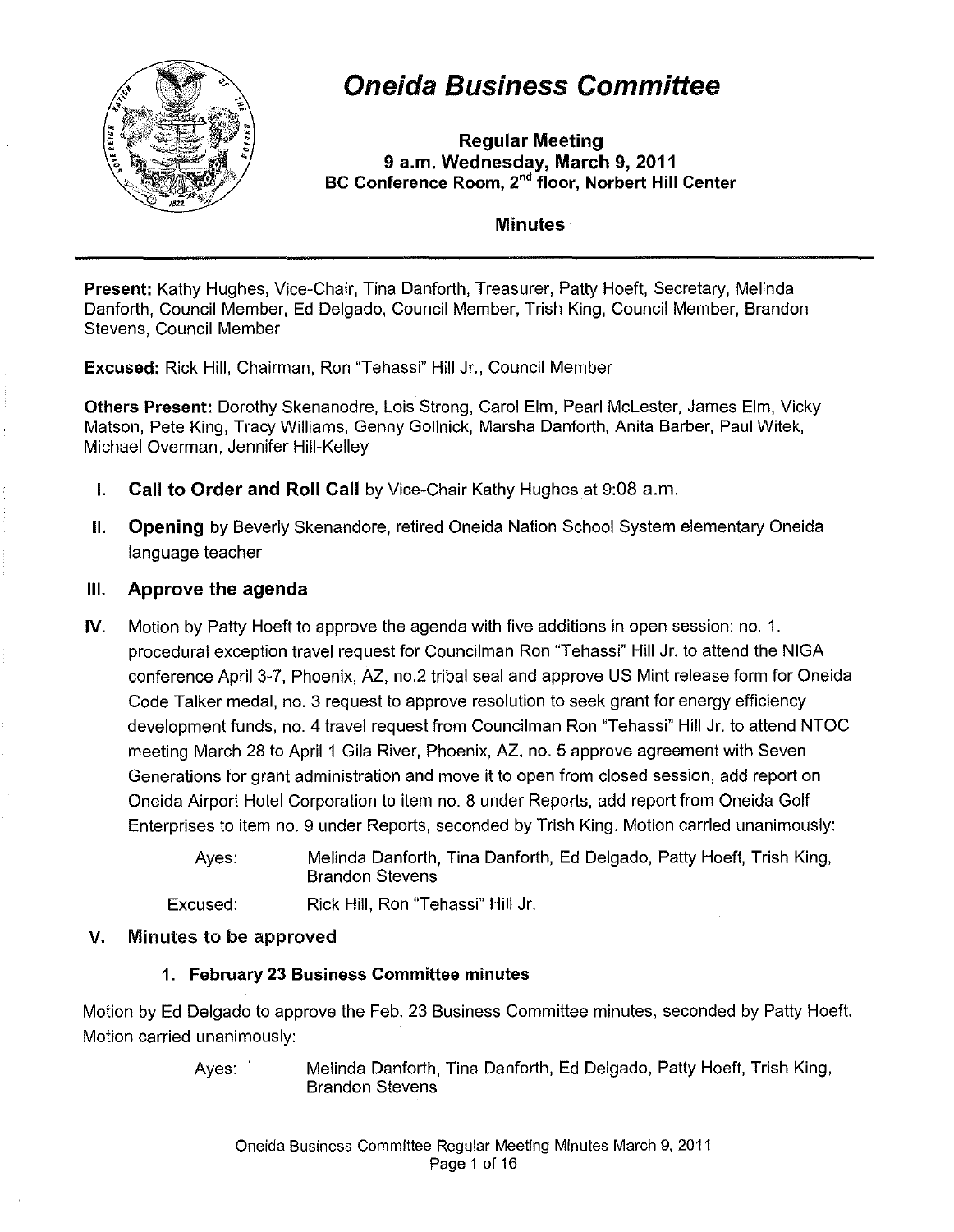

# Oneida Business Committee

Regular Meeting 9 a.m. Wednesday, March 9, 2011 BC Conference Room, 2<sup>nd</sup> floor, Norbert Hill Center

#### **Minutes**

Present: Kathy Hughes, Vice-Chair, Tina Danforth, Treasurer, Patty Hoeft, Secretary, Melinda Danforth, Council Member, Ed Delgado, Council Member, Trish King, Council Member, Brandon Stevens, Council Member

Excused: Rick Hill, Chairman, Ron "Tehassi" Hill Jr., Council Member

Others Present: Dorothy Skenanodre, Lois Strong, Carol Elm, Pearl McLester, James Elm, Vicky Matson, Pete King, Tracy Williams, Genny Gollnick, Marsha Danforth, Anita Barber, Paul Witek, Michael Overman, Jennifer Hill-Kelley

- **I.** Call to Order and Roll Call by Vice-Chair Kathy Hughes at 9:08 a.m.
- **II.** Opening by Beverly Skenandore, retired Oneida Nation School System elementary Oneida language teacher

# III. Approve the agenda

IV. Motion by Patty Hoeft to approve the agenda with five additions in open session: no. 1. procedural exception travel request for Councilman Ron "Tehassi" Hill Jr. to attend the NIGA conference April 3-7, Phoenix, AZ, no.2 tribal seal and approve US Mint release form for Oneida Code Talker medal, no. 3 request to approve resolution to seek grant for energy efficiency development funds, no. 4 travel request from Councilman Ron "Tehassi" Hill Jr. to attend NTOC meeting March 28 to April 1 Gila River, Phoenix, AZ, no. 5 approve agreement with Seven Generations for grant administration and move it to open from closed session, add report on Oneida Airport Hotel Corporation to item no. 8 under Reports, add report from Oneida Golf Enterprises to item no. 9 under Reports, seconded by Trish King. Motion carried unanimously:

> Ayes: Melinda Danforth, Tina Danforth, Ed Delgado, Patty Hoeft, Trish King, Brandon Stevens

Excused: Rick Hill, Ron "Tehassi" Hill Jr.

## V. Minutes to be approved

## 1. February 23 Business Committee minutes

Motion by Ed Delgado to approve the Feb. 23 Business Committee minutes, seconded by Patty Hoeft. Motion carried unanimously:

> Ayes: Melinda Danforth, Tina Danforth, Ed Delgado, Patty Hoeft, Trish King, Brandon Stevens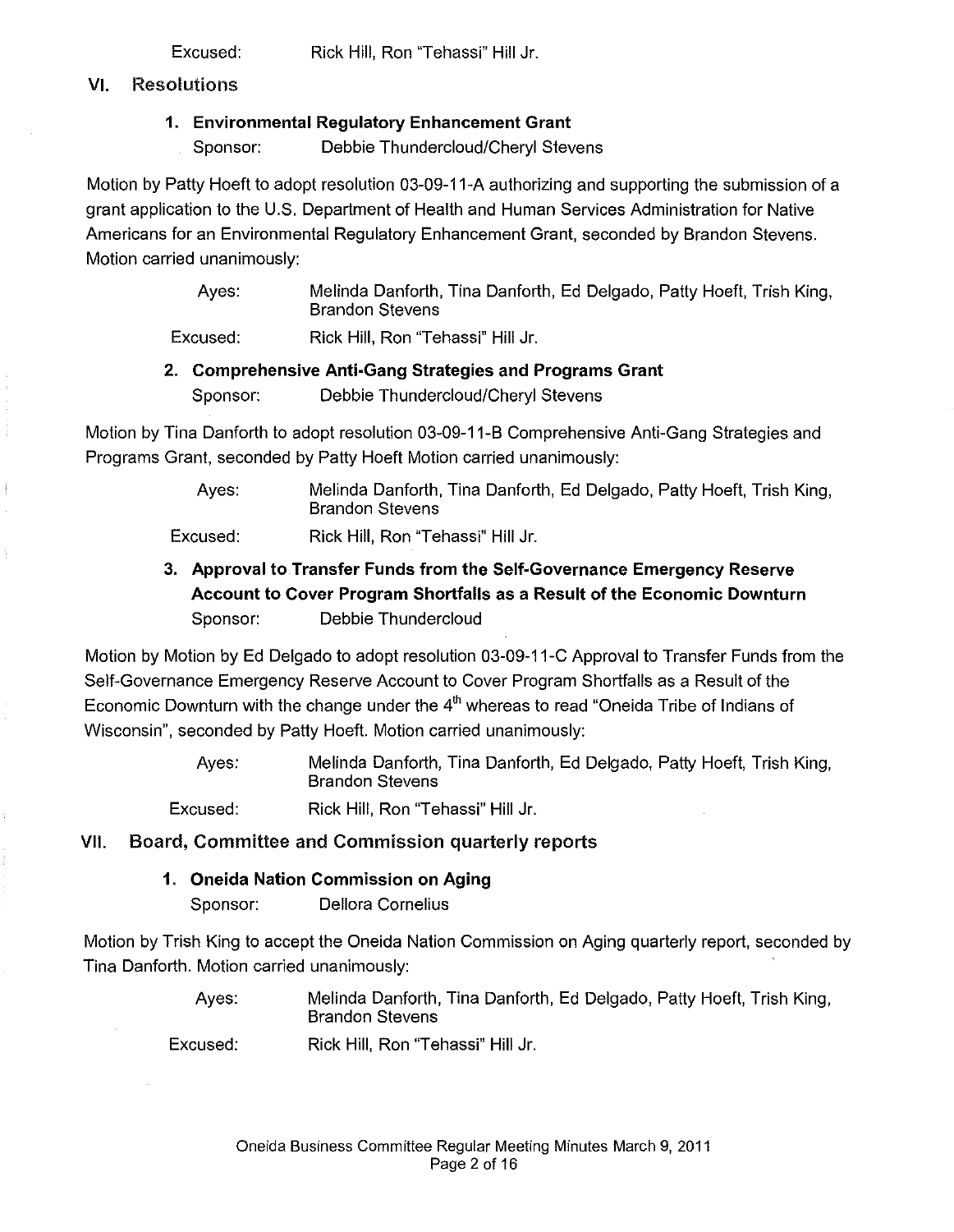Excused: Rick Hill, Ron "Tehassi" Hill Jr.

## VI. Resolutions

# 1. Environmental Regulatory Enhancement Grant

Sponsor: Debbie Thundercloud/Cheryl Stevens

Motion by Patty Hoeft to adopt resolution 03-09-11-A authorizing and supporting the submission of a grant application to the U.S. Department of Health and Human Services Administration for Native Americans for an Environmental Regulatory Enhancement Grant, seconded by Brandon Stevens. Motion carried unanimously:

> Ayes: Melinda Danforth, Tina Danforth, Ed Delgado, Patty Hoeft, Trish King, Brandon Stevens

Excused: Rick Hill, Ron "Tehassi" Hill Jr.

# 2. Comprehensive Anti-Gang Strategies and Programs Grant Sponsor: Debbie Thundercloud/Cheryl Stevens

Motion by Tina Danforth to adopt resolution 03-09-11-B Comprehensive Anti-Gang Strategies and Programs Grant, seconded by Patty Hoeft Motion carried unanimously:

> Ayes: Melinda Danforth, Tina Danforth, Ed Delgado, Patty Hoeft, Trish King, Brandon Stevens

Excused: Rick Hill, Ron "Tehassi" Hill Jr.

3. Approval to Transfer Funds from the Self-Governance Emergency Reserve Account to Cover Program Shortfalls as a Result of the Economic Downturn Sponsor: Debbie Thundercloud

Motion by Motion by Ed Delgado to adopt resolution 03-09-11-C Approval to Transfer Funds from the Self-Governance Emergency Reserve Account to Cover Program Shortfalls as a Result of the Economic Downturn with the change under the  $4<sup>th</sup>$  whereas to read "Oneida Tribe of Indians of Wisconsin", seconded by Patty Hoeft. Motion carried unanimously:

> Ayes: Melinda Danforth, Tina Danforth, Ed Delgado, Patty Hoeft, Trish King, Brandon Stevens

Excused: Rick Hill, Ron "Tehassi" Hill Jr.

# VII. Board, Committee and Commission quarterly reports

# 1. Oneida Nation Commission on Aging

Sponsor: Dellora Cornelius

Motion by Trish King to accept the Oneida Nation Commission on Aging quarterly report, seconded by Tina Danforth. Motion carried unanimously:

> Ayes: Melinda Danforth, Tina Danforth, Ed Delgado, Patty Hoeft, Trish King, Brandon Stevens

Excused: Rick Hill, Ron "Tehassi" Hill Jr.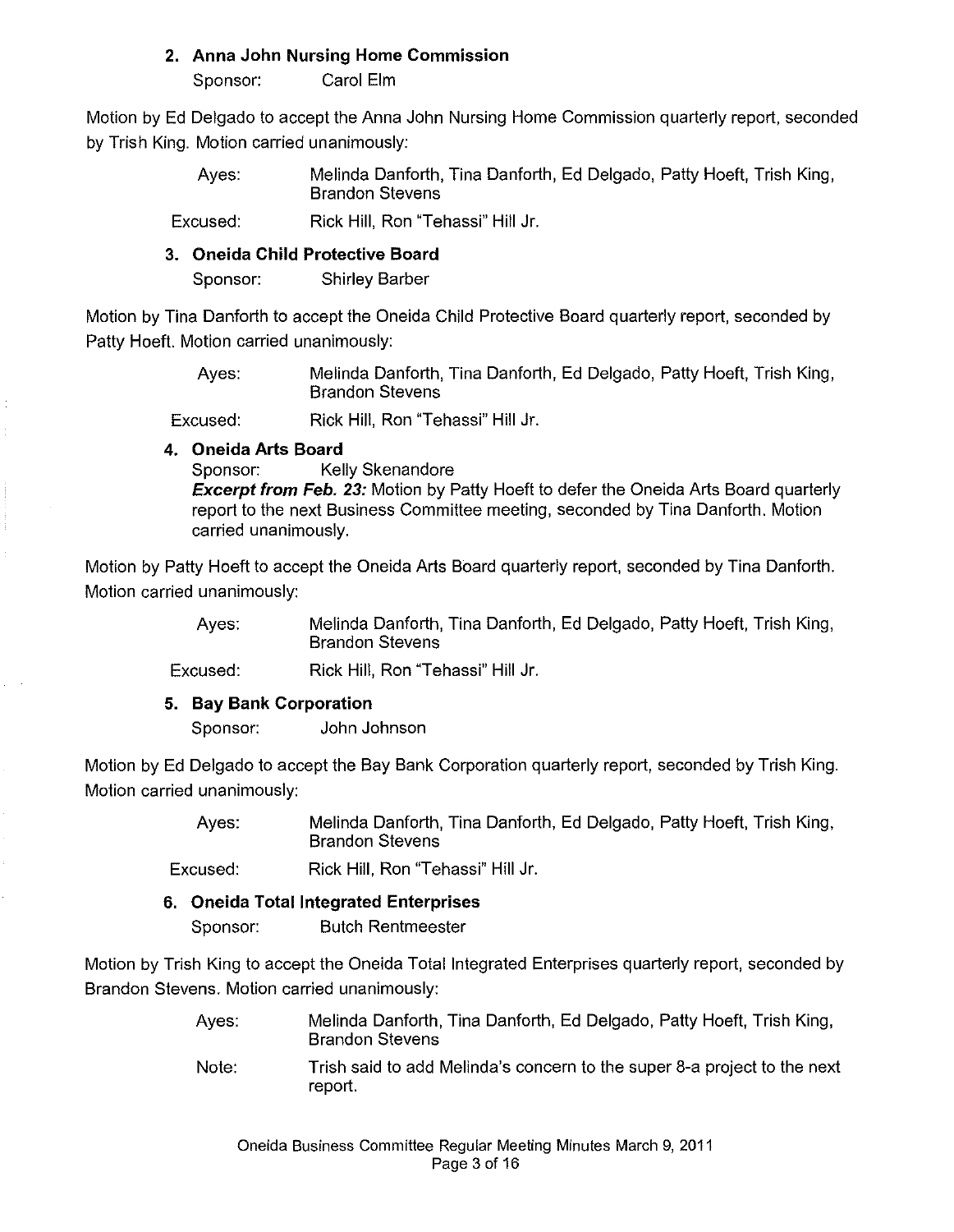#### **2. Anna John Nursing Home Commission**

Sponsor: Carol Elm

Motion by Ed Delgado to accept the Anna John Nursing Home Commission quarterly report, seconded by Trish King. Motion carried unanimously:

> Ayes: Melinda Danforth, Tina Danforth, Ed Delgado, Patty Hoeft, Trish King, Brandon Stevens

Excused: Rick Hill, Ron "Tehassi" Hill Jr.

## **3. Oneida Child Protective Board**

Sponsor: Shirley Barber

Motion by Tina Danforth to accept the Oneida Child Protective Board quarterly report, seconded by Patty Hoeft. Motion carried unanimously:

> Ayes: Melinda Danforth, Tina Danforth, Ed Delgado, Patty Hoeft, Trish King, Brandon Stevens

Excused: Rick Hill, Ron "Tehassi" Hill Jr.

# **4. Oneida Arts Board**

Sponsor: Kelly Skenandore

**Excerpt from Feb. 23:** Motion by Patty Hoeft to defer the Oneida Arts Board quarterly report to the next Business Committee meeting, seconded by Tina Danforth. Motion carried unanimously.

Motion by Patty Hoeft to accept the Oneida Arts Board quarterly report, seconded by Tina Danforth. Motion carried unanimously:

> Ayes: Melinda Danforth, Tina Danforth, Ed Delgado, Patty Hoeft, Trish King, Brandon Stevens

Excused: Rick Hill, Ron "Tehassi" Hill Jr.

## **5. Bay Bank Corporation**

Sponsor: John Johnson

Motion by Ed Delgado to accept the Bay Bank Corporation quarterly report, seconded by Trish King. Motion carried unanimously:

> Ayes: Melinda Danforth, Tina Danforth, Ed Delgado, Patty Hoeft, Trish King, Brandon Stevens

Excused: Rick Hill, Ron "Tehassi" Hill Jr.

## **6. Oneida** Total Integrated **Enterprises**

Sponsor: Butch Rentmeester

Motion by Trish King to accept the Oneida Total Integrated Enterprises quarterly report, seconded by Brandon Stevens. Motion carried unanimously:

- Ayes: Melinda Danforth, Tina Danforth, Ed Delgado, Patty Hoeft, Trish King, Brandon Stevens
- Note: Trish said to add Melinda's concern to the super 8-a project to the next report.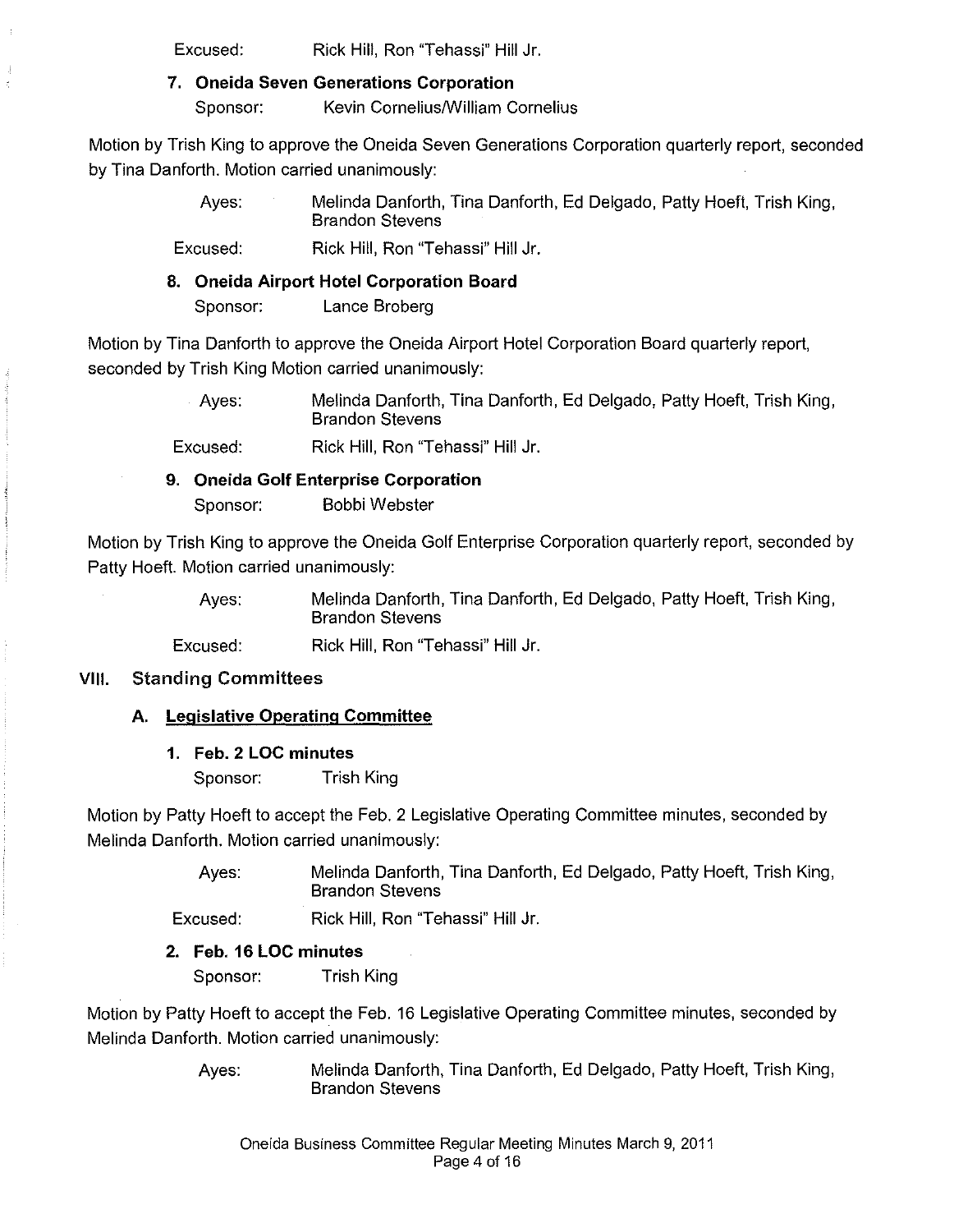Excused: Rick Hill, Ron "Tehassi" Hill Jr.

#### 7, **Oneida Seven Generations Corporation**

Sponsor: Kevin Cornelius/William Cornelius

Motion by Trish King to approve the Oneida Seven Generations Corporation quarterly report, seconded by Tina Danforth. Motion carried unanimously:

> Ayes: Melinda Danforth, Tina Danforth, Ed Delgado, Patty Hoeft, Trish King, Brandon Stevens

Excused: Rick Hill, Ron "Tehassi" Hill Jr.

#### **8. Oneida Airport Hotel Corporation Board**

Sponsor: Lance Broberg

Motion by Tina Danforth to approve the Oneida Airport Hotel Corporation Board quarterly report, seconded by Trish King Motion carried unanimously:

> Ayes: Melinda Danforth, Tina Danforth, Ed Delgado, Patty Hoeft, Trish King, Brandon Stevens

Excused: Rick Hill, Ron "Tehassi" Hill Jr.

# **9. Oneida Golf Enterprise Corporation**

Sponsor: Bobbi Webster

Motion by Trish King to approve the Oneida Golf Enterprise Corporation quarterly report, seconded by Patty Hoeft. Motion carried unanimously:

> Ayes: Melinda Danforth, Tina Danforth, Ed Delgado, Patty Hoeft, Trish King, Brandon Stevens

Excused: Rick Hill, Ron "Tehassi" Hill Jr.

## **VIII. Standing Committees**

## **A. Legislative Operating Committee**

**1. Feb. 2 LOC minutes** 

Sponsor: Trish King

Motion by Patty Hoeft to accept the Feb. 2 Legislative Operating Committee minutes, seconded by Melinda Danforth. Motion carried unanimously:

> Ayes: Melinda Danforth, Tina Danforth, Ed Delgado, Patty Hoeft, Trish King, Brandon Stevens

Excused: Rick Hill, Ron "Tehassi" Hill Jr.

## **2. Feb. 16 LOC minutes**

Sponsor: Trish King

Motion by Patty Hoeft to accept the Feb. 16 Legislative Operating Committee minutes, seconded by Melinda Danforth. Motion carried unanimously:

> Ayes: Melinda Danforth, Tina Danforth, Ed Delgado, Patty Hoeft, Trish King, Brandon Stevens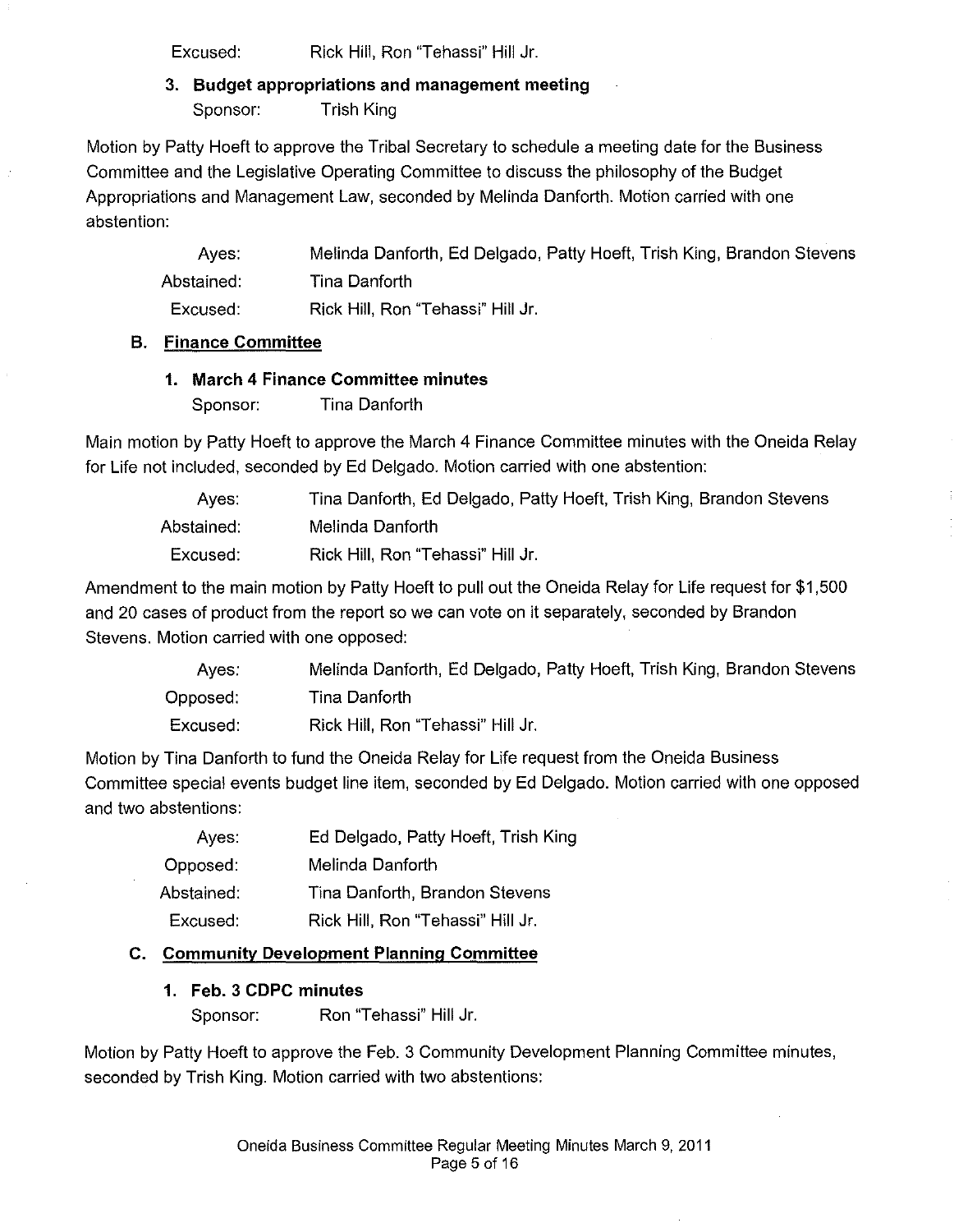Excused: Rick Hill, Ron "Tehassi" Hill Jr.

3. **Budget** appropriations **and management meeting**  Sponsor: Trish King

Motion by Patty Hoeft to approve the Tribal Secretary to schedule a meeting date for the Business Committee and the Legislative Operating Committee to discuss the philosophy of the Budget Appropriations and Management Law, seconded by Melinda Danforth. Motion carried with one abstention:

Ayes: Abstained: Excused: Melinda Danforth, Ed Delgado, Patty Hoeft, Trish King, Brandon Stevens Tina Danforth Rick Hill, Ron "Tehassi" Hill Jr.

#### **B. Finance Committee**

#### **1. March 4 Finance Committee minutes**

Sponsor: Tina Danforth

Main motion by Patty Hoeft to approve the March 4 Finance Committee minutes with the Oneida Relay for Life not included, seconded by Ed Delgado. Motion carried with one abstention:

Ayes: Abstained: Excused: Tina Danforth, Ed Delgado, Patty Hoeft, Trish King, Brandon Stevens Melinda Danforth Rick Hill, Ron "Tehassi" Hill Jr.

Amendment to the main motion by Patty Hoeft to pull out the Oneida Relay for Life request for \$1,500 and 20 cases of product from the report so we can vote on it separately, seconded by Brandon Stevens. Motion carried with one opposed:

| Aves:    | Melinda Danforth, Ed Delgado, Patty Hoeft, Trish King, Brandon Stevens |
|----------|------------------------------------------------------------------------|
| Opposed: | Tina Danforth                                                          |
| Excused: | Rick Hill, Ron "Tehassi" Hill Jr.                                      |

Motion by Tina Danforth to fund the Oneida Relay for Life request from the Oneida Business Committee special events budget line item, seconded by Ed Delgado. Motion carried with one opposed and two abstentions:

| Ed Delgado, Patty Hoeft, Trish King |
|-------------------------------------|
| Melinda Danforth                    |
| Tina Danforth, Brandon Stevens      |
| Rick Hill, Ron "Tehassi" Hill Jr.   |
|                                     |

## **C. Community Development Planning Committee**

## **1. Feb. 3 CDPC minutes**

Sponsor: Ron "Tehassi" Hill Jr.

Motion by Patty Hoeft to approve the Feb. 3 Community Development Planning Committee minutes, seconded by Trish King. Motion carried with two abstentions: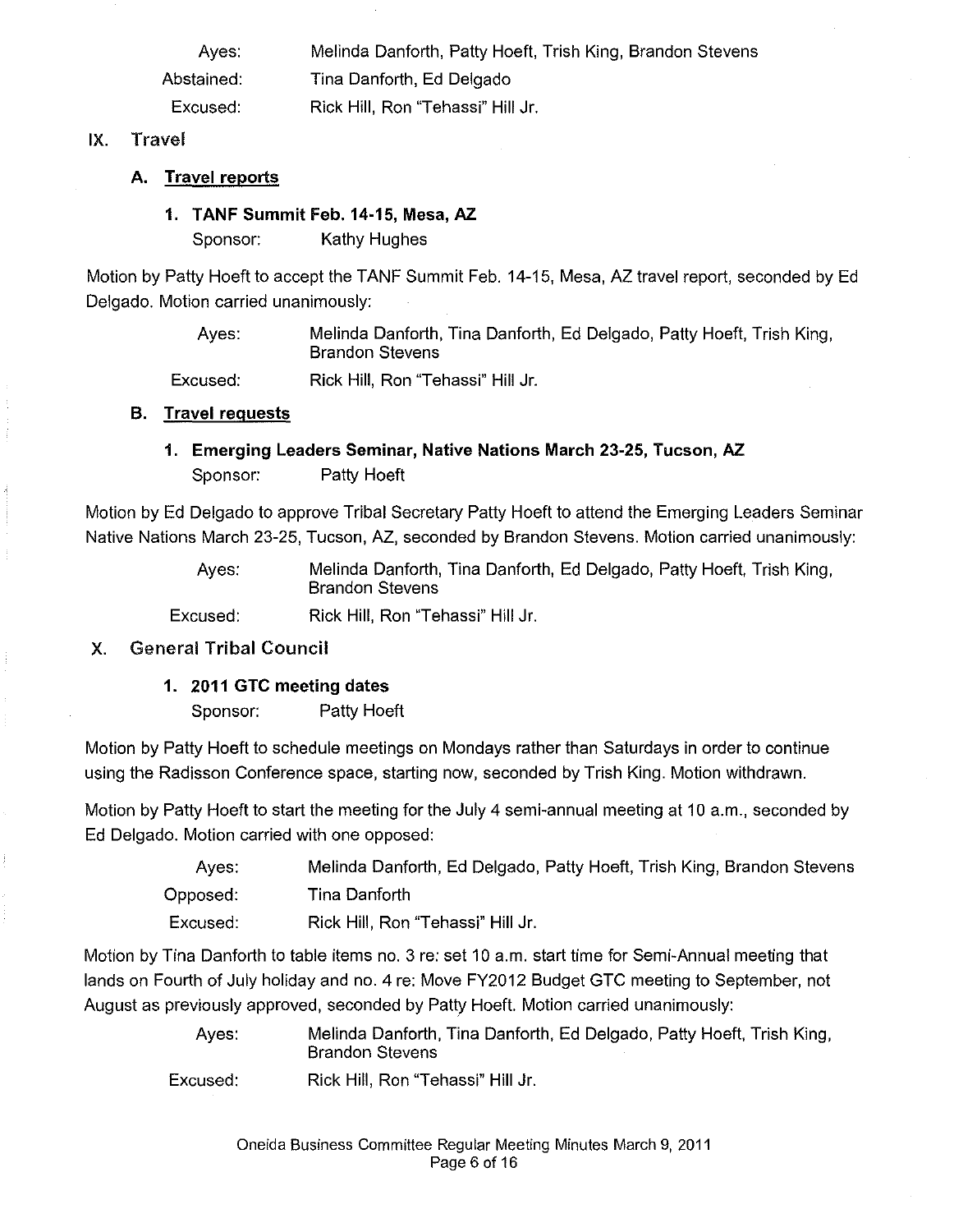Ayes: Abstained: Excused: Melinda Danforth, Patty Hoeft, Trish King, Brandon Stevens Tina Danforth, Ed Delgado Rick Hill, Ron "Tehassi" Hill Jr.

#### IX. Travel

#### A. Travel reports

#### 1. TANF Summit Feb. 14-15, Mesa, AZ.

Sponsor: Kathy Hughes

Motion by Patty Hoeft to accept the TANF Summit Feb. 14-15, Mesa, AZ travel report, seconded by Ed Delgado. Motion carried unanimously:

> Ayes: Melinda Danforth, Tina Danforth, Ed Delgado, Patty Hoeft, Trish King, Brandon Stevens

Excused: Rick Hill, Ron "Tehassi" Hill Jr.

#### B. Travel requests

## 1. Emerging Leaders Seminar, Native Nations March 23-25, Tucson, AZ. Sponsor: Patty Hoeft

Motion by Ed Delgado to approve Tribal Secretary Patty Hoeft to attend the Emerging Leaders Seminar Native Nations March 23-25, Tucson, AZ, seconded by Brandon Stevens. Motion carried unanimously:

> Ayes: Melinda Danforth, Tina Danforth, Ed Delgado, Patty Hoeft, Trish King, Brandon Stevens

Excused: Rick Hill, Ron "Tehassi" Hill Jr.

#### X. General Tribal Council

#### 1. 2011 GTC meeting dates

Sponsor: Patty Hoeft

Motion by Patty Hoeft to schedule meetings on Mondays rather than Saturdays in order to continue using the Radisson Conference space, starting now, seconded by Trish King. Motion withdrawn.

Motion by Patty Hoeft to start the meeting for the July 4 semi-annual meeting at 10 a.m., seconded by Ed Delgado. Motion carried with one opposed:

| Aves:       | Melinda Danforth, Ed Delgado, Patty Hoeft, Trish King, Brandon Stevens |
|-------------|------------------------------------------------------------------------|
| Opposed:    | Tina Danforth                                                          |
| $E$ vouoodi | Diele Will Den "Teberei" Will Ir                                       |

Excused: Rick Hill, Ron "Tehassi" Hill Jr.

Motion by Tina Danforth to table items no. 3 re: set 10 a.m. start time for Semi-Annual meeting that lands on Fourth of July holiday and no. 4 re: Move FY2012 Budget GTC meeting to September, not August as previously approved, seconded by Patty Hoeft. Motion carried unanimously:

> Ayes: Melinda Danforth, Tina Danforth, Ed Delgado, Patty Hoeft, Trish King, Brandon Stevens

Excused: Rick Hill, Ron "Tehassi" Hill Jr.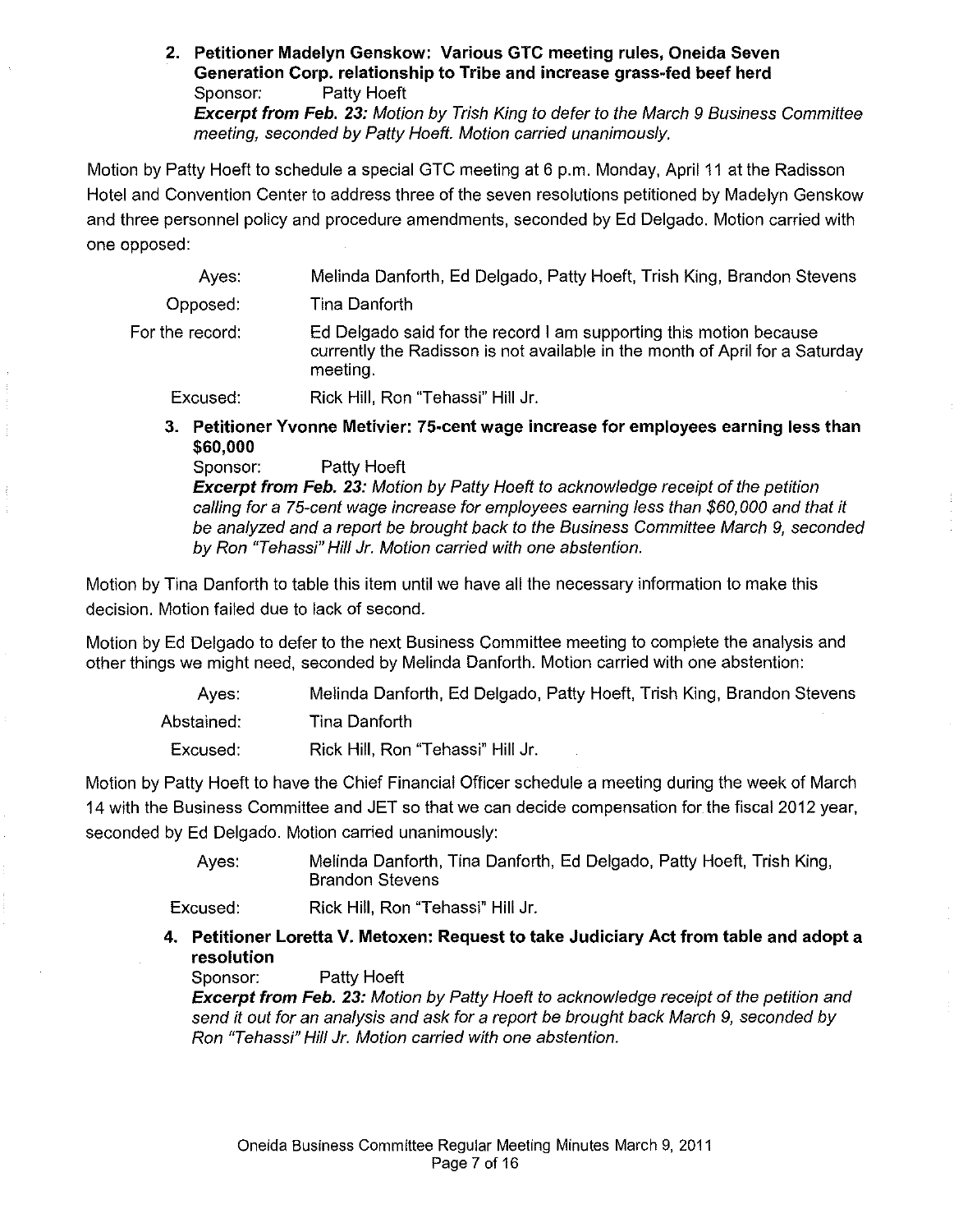2. Petitioner Madelyn Genskow: Various GTC meeting rules, Oneida Seven Generation Corp. relationship to Tribe and increase grass-fed beef herd Sponsor: Patty Hoeft Excerpt from Feb. 23: Motion by Trish King to defer to the March 9 Business Committee meeting, seconded by Patty Hoeft. Motion carried unanimously.

Motion by Patty Hoeft to schedule a special GTC meeting at 6 p.m. Monday, April 11 at the Radisson Hotel and Convention Center to address three of the seven resolutions petitioned by Madelyn Genskow and three personnel policy and procedure amendments, seconded by Ed Delgado. Motion carried with one opposed:

| Aves:           | Melinda Danforth, Ed Delgado, Patty Hoeft, Trish King, Brandon Stevens                                                                                         |
|-----------------|----------------------------------------------------------------------------------------------------------------------------------------------------------------|
| Opposed:        | Tina Danforth                                                                                                                                                  |
| For the record: | Ed Delgado said for the record I am supporting this motion because<br>currently the Radisson is not available in the month of April for a Saturday<br>meeting. |

Excused: Rick Hill, Ron "Tehassi" Hill Jr.

3. Petitioner Yvonne Metivier: 75-cent wage increase for employees earning less than \$60,000

Sponsor: Patty Hoeft

**Excerpt from Feb. 23:** Motion by Patty Hoeft to acknowledge receipt of the petition calling for a 75-cent wage increase for employees earning less than \$60, 000 and that it be analyzed and a report be brought back to the Business Committee March 9, seconded by Ron "Tehassi" Hill Jr. Motion carried with one abstention.

Motion by Tina Danforth to table this item until we have all the necessary information to make this decision. Motion failed due to lack of second.

Motion by Ed Delgado to defer to the next Business Committee meeting to complete the analysis and other things we might need, seconded by Melinda Danforth. Motion carried with one abstention:

| Aves:      | Melinda Danforth, Ed Delgado, Patty Hoeft, Trish King, Brandon Stevens |
|------------|------------------------------------------------------------------------|
| Abstained: | Tina Danforth                                                          |
| Excused:   | Rick Hill, Ron "Tehassi" Hill Jr.                                      |

Motion by Patty Hoeft to have the Chief Financial Officer schedule a meeting during the week of March 14 with the Business Committee and JET so that we can decide compensation for the fiscal *2012* year, seconded by Ed Delgado. Motion carried unanimously:

> Ayes: Melinda Danforth, Tina Danforth, Ed Delgado, Patty Hoeft, Trish King, Brandon Stevens

Excused: Rick Hill, Ron "Tehassi" Hill Jr.

4. Petitioner Loretta V. Metoxen: Request to take Judiciary Act from table and adopt a resolution

Sponsor: Patty Hoeft

**Excerpt from Feb. 23:** Motion by Patty Hoeft to acknowledge receipt of the petition and send it out for an analysis and ask for a report be brought back March 9, seconded by Ron "Tehassi" Hill Jr. Motion carried with one abstention.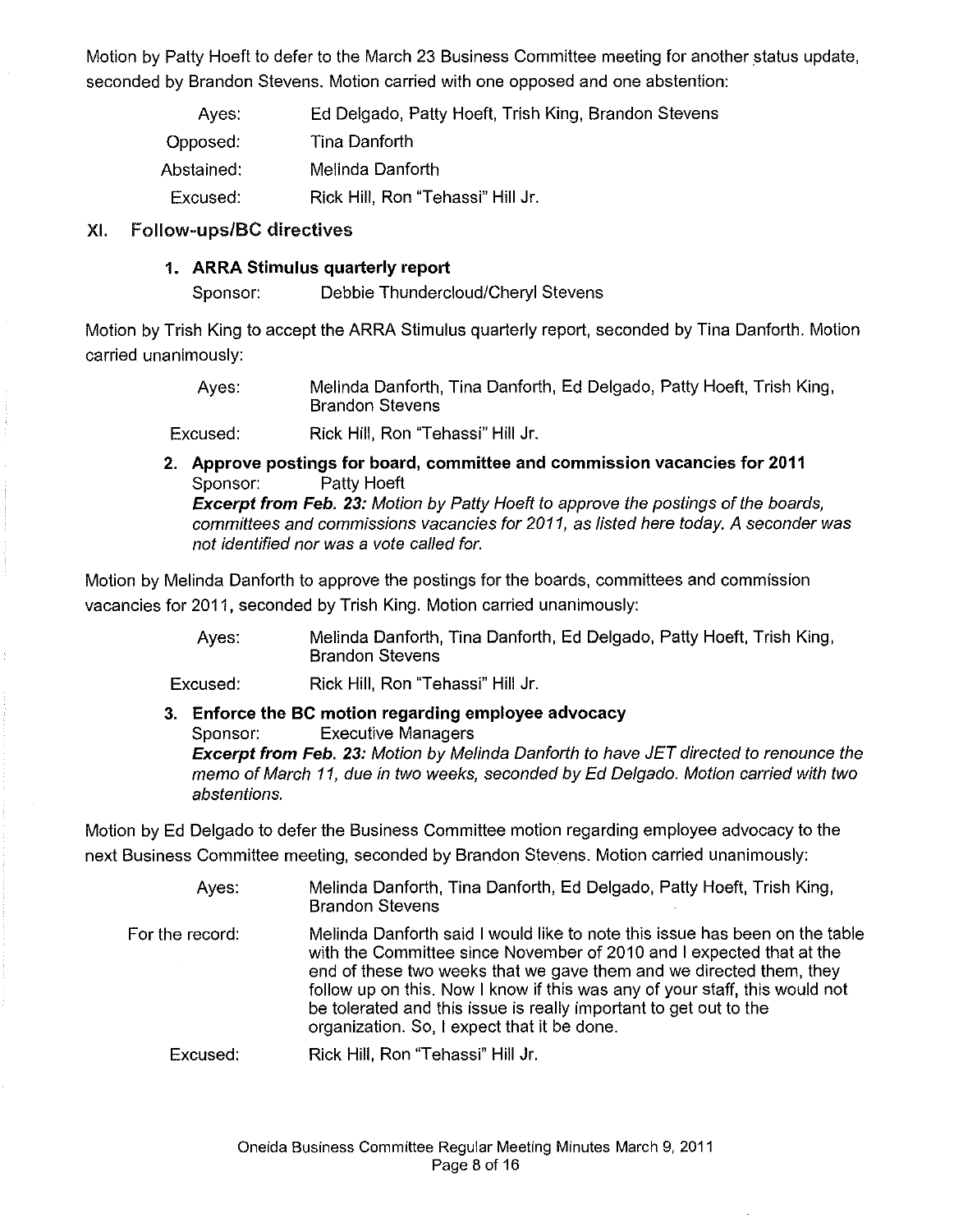Motion by Patty Hoeft to defer to the March 23 Business Committee meeting for another status update, seconded by Brandon Stevens. Motion carried with one opposed and one abstention:

| Ayes.      | Ed Delgado, Patty Hoeft, Trish King, Brandon Stevens |
|------------|------------------------------------------------------|
| Opposed:   | Tina Danforth                                        |
| Abstained: | Melinda Danforth                                     |
| Excused:   | Rick Hill, Ron "Tehassi" Hill Jr.                    |

#### XI. Follow-ups/BC directives

#### **1. ARRA Stimulus quarterly report**

Sponsor: Debbie Thundercloud/Cheryl Stevens

Motion by Trish King to accept the ARRA Stimulus quarterly report, seconded by Tina Danforth. Motion carried unanimously:

> Ayes: Melinda Danforth, Tina Danforth, Ed Delgado, Patty Hoeft, Trish King, Brandon Stevens

Excused: Rick Hill, Ron "Tehassi" Hill Jr.

**2. Approve postings for board, committee and commission vacancies for 2011**  Sponsor: Patty Hoeft

**Excerpt from Feb. 23:** Motion by Patty Hoeft to approve the postings of the boards, committees and commissions vacancies for 2011, as listed here today. A seconder was not identified nor was a vote called for.

Motion by Melinda Danforth to approve the postings for the boards, committees and commission vacancies for 2011, seconded by Trish King. Motion carried unanimously:

> Ayes: Melinda Danforth, Tina Danforth, Ed Delgado, Patty Hoeft, Trish King, Brandon Stevens

Excused: Rick Hill, Ron "Tehassi" Hill Jr.

**3. Enforce the BC motion regarding employee advocacy** Sponsor: Executive Managers **Excerpt from Feb. 23:** Motion by Melinda Danforth to have JET directed to renounce the memo of March 11, due in two weeks, seconded by Ed Delgado. Motion carried with two abstentions.

Motion by Ed Delgado to defer the Business Committee motion regarding employee advocacy to the next Business Committee meeting, seconded by Brandon Stevens. Motion carried unanimously:

| Aves:           | Melinda Danforth, Tina Danforth, Ed Delgado, Patty Hoeft, Trish King,<br><b>Brandon Stevens</b>                                                                                                                                                                                                                                                                                                                               |
|-----------------|-------------------------------------------------------------------------------------------------------------------------------------------------------------------------------------------------------------------------------------------------------------------------------------------------------------------------------------------------------------------------------------------------------------------------------|
| For the record: | Melinda Danforth said I would like to note this issue has been on the table<br>with the Committee since November of 2010 and I expected that at the<br>end of these two weeks that we gave them and we directed them, they<br>follow up on this. Now I know if this was any of your staff, this would not<br>be tolerated and this issue is really important to get out to the<br>organization. So, I expect that it be done. |
| Excused:        | Rick Hill, Ron "Tehassi" Hill Jr.                                                                                                                                                                                                                                                                                                                                                                                             |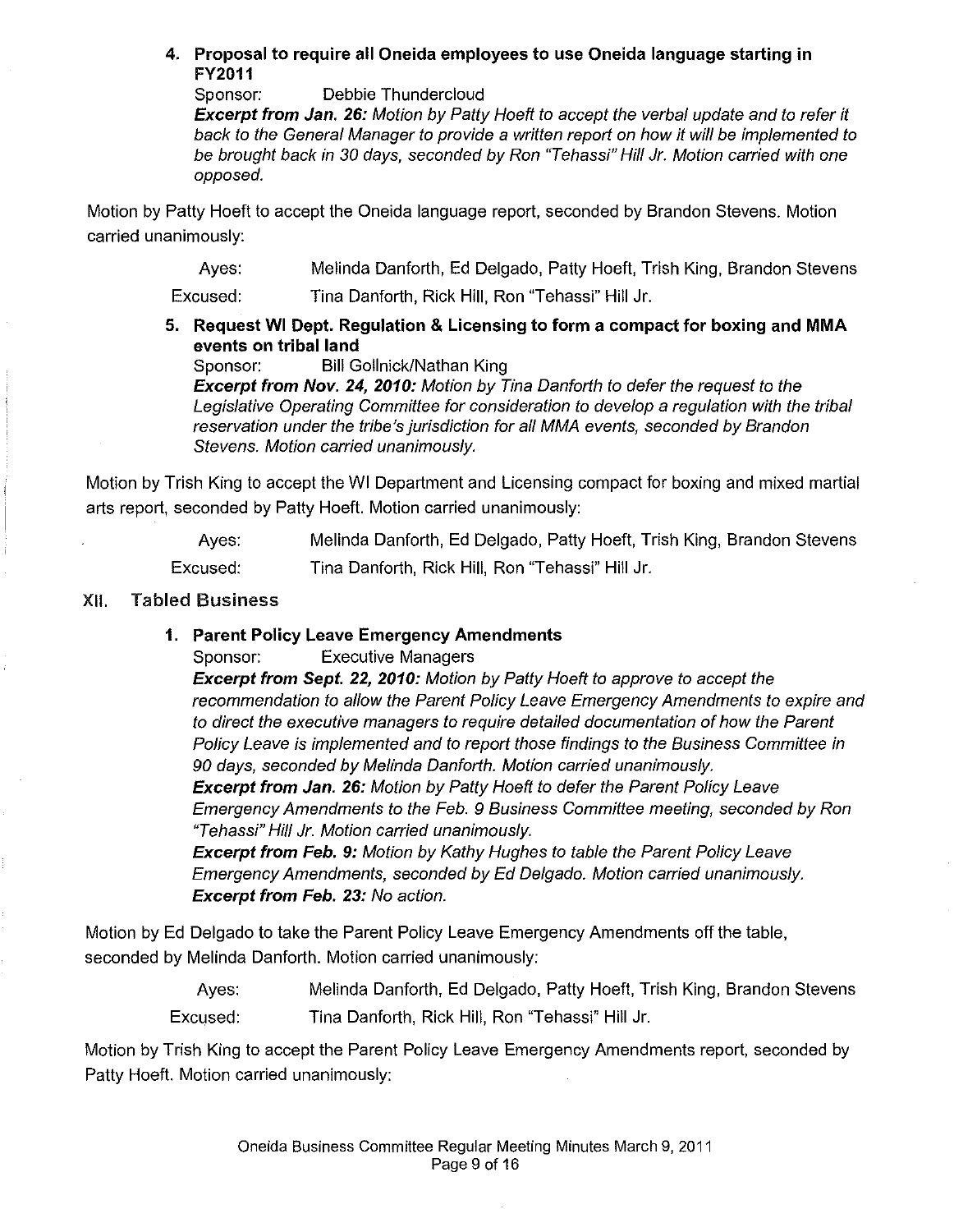#### 4. Proposal to require all Oneida employees to use Oneida language starting in FY2011

Sponsor: Debbie Thundercloud

**Excerpt from Jan. 26:** Motion by Patty Hoeft to accept the verbal update and to refer it back to the General Manager to provide a written report on how it will be implemented to be brought back in 30 days, seconded by Ron "Tehassi" Hill Jr. Motion carried with one opposed.

Motion by Patty Hoeft to accept the Oneida language report, seconded by Brandon Stevens. Motion carried unanimously:

> Ayes: Melinda Danforth, Ed Delgado, Patty Hoeft, Trish King, Brandon Stevens

Excused: Tina Danforth, Rick Hill, Ron "Tehassi" Hill Jr.

5. Request **WI** Dept. Regulation & Licensing to form a compact for boxing and MMA events on tribal land

Sponsor: Bill Gollnick/Nathan King

Excerpt from Nov. 24, 2010: Motion by Tina Danforth to defer the request to the Legislative Operating Committee for consideration to develop a regulation with the tribal reservation under the tribe's jurisdiction for all MMA events, seconded by Brandon Stevens. Motion carried unanimously.

Motion by Trish King to accept the WI Department and Licensing compact for boxing and mixed martial arts report, seconded by Patty Hoeft. Motion carried unanimously:

> Ayes: Excused: Melinda Danforth, Ed Delgado, Patty Hoeft, Trish King, Brandon Stevens Tina Danforth, Rick Hill, Ron "Tehassi" Hill Jr.

#### XII. Tabled Business

## 1. Parent Policy Leave Emergency Amendments

Sponsor: Executive Managers

Excerpt from Sept. 22, 2010: Motion by Patty Hoeft to approve to accept the recommendation to allow the Parent Policy Leave Emergency Amendments to expire and to direct the executive managers to require detailed documentation of how the Parent Policy Leave is implemented and to report those findings to the Business Committee in 90 days, seconded by Melinda Danforth. Motion carried unanimously. **Excerpt from Jan. 26:** Motion by Patty Hoeft to defer the Parent Policy Leave Emergency Amendments to the Feb. 9 Business Committee meeting, seconded by Ron "Tehassi" Hill Jr. Motion carried unanimously.

**Excerpt from Feb. 9:** Motion by Kathy Hughes to table the Parent Policy Leave Emergency Amendments, seconded by Ed Delgado. Motion carried unanimously. Excerpt from Feb. 23: No action.

Motion by Ed Delgado to take the Parent Policy Leave Emergency Amendments off the table, seconded by Melinda Danforth. Motion carried unanimously:

> Ayes: Excused: Melinda Danforth, Ed Delgado, Patty Hoeft, Trish King, Brandon Stevens Tina Danforth, Rick Hill, Ron "Tehassi" Hill Jr.

Motion by Trish King to accept the Parent Policy Leave Emergency Amendments report, seconded by Patty Hoeft. Motion carried unanimously: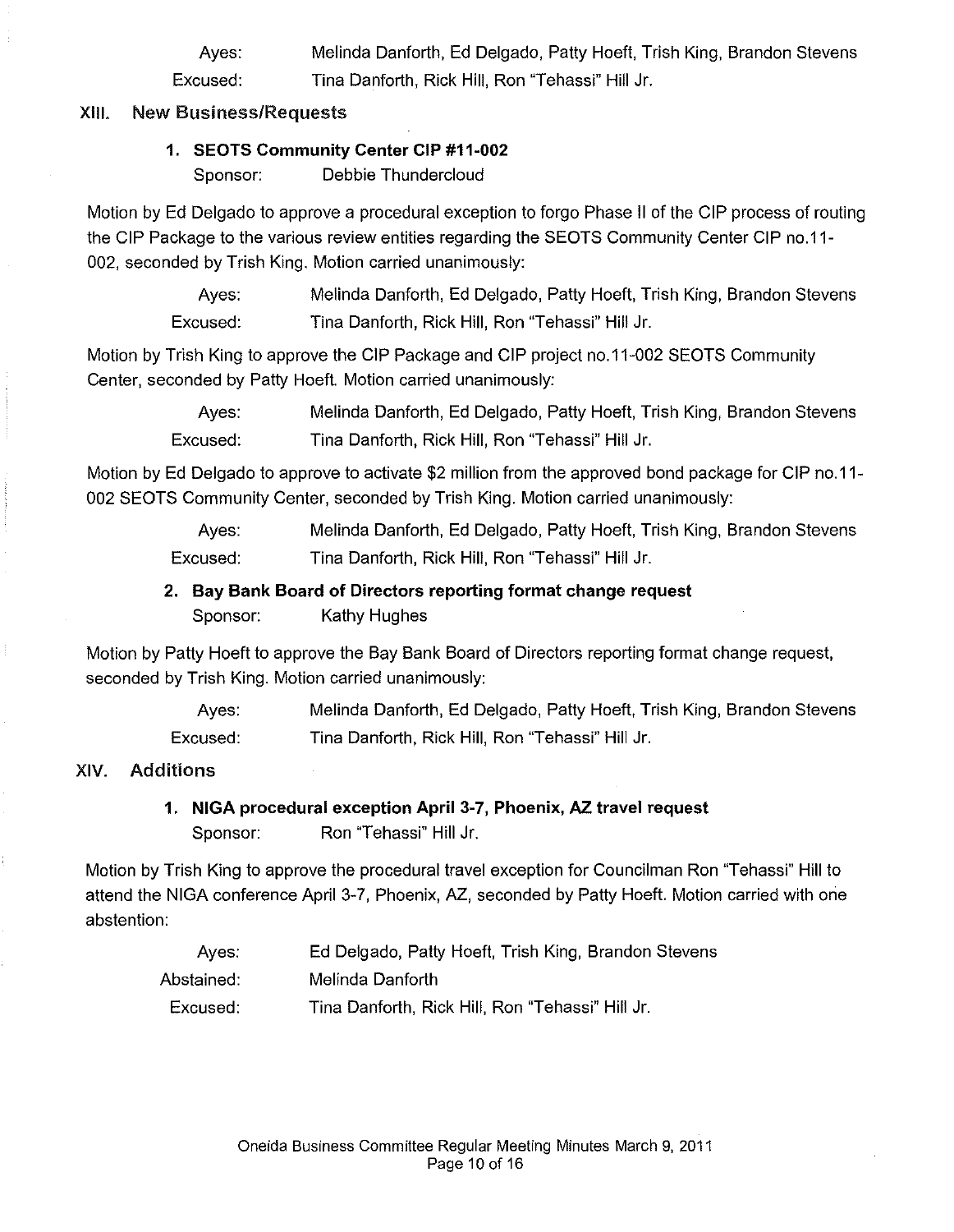Ayes: Excused: Melinda Danforth, Ed Delgado, Patty Hoeft, Trish King, Brandon Stevens Tina Danforth, Rick Hill, Ron "Tehassi" Hill Jr.

#### XIII. New Business/Requests

#### 1. SEOTS Community Center CIP #11-002

Sponsor: Debbie Thundercloud

Motion by Ed Delgado to approve a procedural exception to forgo Phase II of the CIP process of routing the CIP Package to the various review entities regarding the SEOTS Community Center CIP no.11- 002, seconded by Trish King. Motion carried unanimously:

> Ayes: Excused: Melinda Danforth, Ed Delgado, Patty Hoeft, Trish King, Brandon Stevens Tina Danforth, Rick Hill, Ron "Tehassi" Hill Jr.

Motion by Trish King to approve the CIP Package and CIP project no.11-002 SEOTS Community Center, seconded by Patty Hoeft. Motion carried unanimously:

> Ayes: Excused: Melinda Danforth, Ed Delgado, Patty Hoeft, Trish King, Brandon Stevens Tina Danforth, Rick Hill, Ron "Tehassi" Hill Jr.

Motion by Ed Delgado to approve to activate \$2 million from the approved bond package for CIP no.11- 002 SEOTS Community Center, seconded by Trish King. Motion carried unanimously:

> Ayes: Excused: Melinda Danforth, Ed Delgado, Patty Hoeft, Trish King, Brandon Stevens Tina Danforth, Rick Hill, Ron "Tehassi" Hill Jr.

# 2. Bay Bank Board of Directors reporting format change request

Sponsor: Kathy Hughes

Motion by Patty Hoeft to approve the Bay Bank Board of Directors reporting format change request, seconded by Trish King. Motion carried unanimously:

> Ayes: Excused: Melinda Danforth, Ed Delgado, Patty Hoeft, Trish King, Brandon Stevens Tina Danforth, Rick Hill, Ron "Tehassi" Hill Jr.

## XIV. Additions

# 1. NIGA procedural exception April 3-7, Phoenix, AZ travel request Sponsor: Ron "Tehassi" Hill Jr.

Motion by Trish King to approve the procedural travel exception for Councilman Ron "Tehassi" Hill to attend the NIGA conference April 3-7, Phoenix, AZ, seconded by Patty Hoeft. Motion carried with one abstention:

| Ayes.      | Ed Delgado, Patty Hoeft, Trish King, Brandon Stevens |
|------------|------------------------------------------------------|
| Abstained: | Melinda Danforth                                     |
| Excused:   | Tina Danforth, Rick Hill, Ron "Tehassi" Hill Jr.     |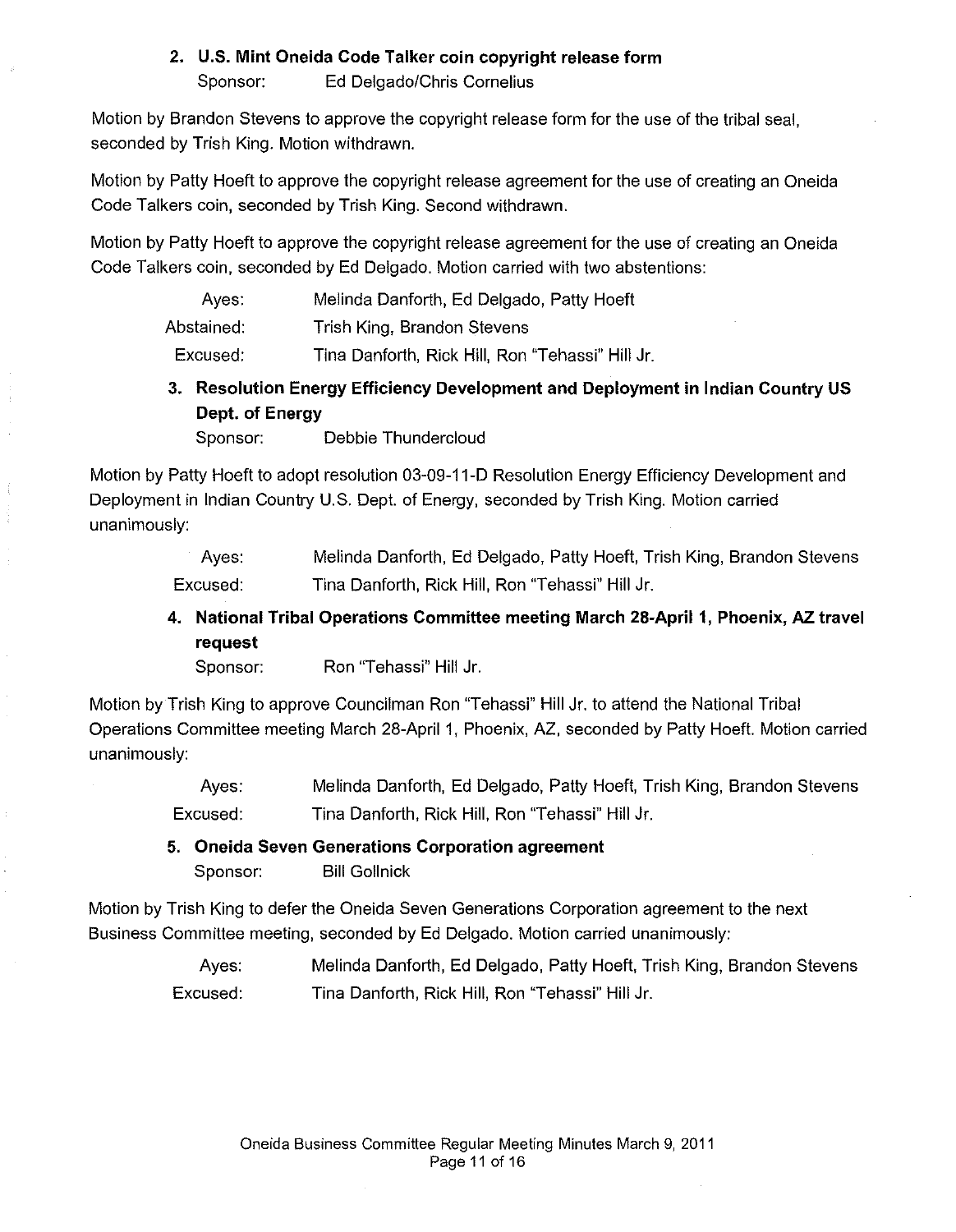## 2. U.S. Mint Oneida Code Talker coin copyright release form

Sponsor: Ed Delgado/Chris Cornelius

Motion by Brandon Stevens to approve the copyright release form for the use of the tribal seal, seconded by Trish King. Motion withdrawn.

Motion by Patty Hoeft to approve the copyright release agreement for the use of creating an Oneida Code Talkers coin, seconded by Trish King. Second withdrawn.

Motion by Patty Hoeft to approve the copyright release agreement for the use of creating an Oneida Code Talkers coin, seconded by Ed Delgado. Motion carried with two abstentions:

| Ayes: |  |  |  |  | Melinda Danforth, Ed Delgado, Patty Hoeft |
|-------|--|--|--|--|-------------------------------------------|
|-------|--|--|--|--|-------------------------------------------|

Abstained: Trish King, Brandon Stevens

Excused: Tina Danforth, Rick Hill, Ron "Tehassi" Hill Jr.

3. Resolution Energy Efficiency Development and Deployment in Indian Country US Dept. of Energy

Sponsor: Debbie Thundercloud

Motion by Patty Hoeft to adopt resolution 03-09-11-0 Resolution Energy Efficiency Development and Deployment in Indian Country U.S. Dept. of Energy, seconded by Trish King. Motion carried unanimously:

> Ayes: Excused: Melinda Danforth, Ed Delgado, Patty Hoeft, Trish King, Brandon Stevens Tina Danforth, Rick Hill, Ron "Tehassi" Hill Jr.

> 4. National Tribal Operations Committee meeting March 28-April 1, Phoenix, AZ travel request

Sponsor: Ron "Tehassi" Hill Jr.

Motion by Trish King to approve Councilman Ron "Tehassi" Hill Jr. to attend the National Tribal Operations Committee meeting March 28-April 1, Phoenix, AZ, seconded by Patty Hoeft. Motion carried unanimously:

> Ayes: Excused: Melinda Danforth, Ed Delgado, Patty Hoeft, Trish King, Brandon Stevens Tina Danforth, Rick Hill, Ron "Tehassi" Hill Jr.

5. Oneida Seven Generations Corporation agreement Sponsor: Bill Gollnick

Motion by Trish King to defer the Oneida Seven Generations Corporation agreement to the next Business Committee meeting, seconded by Ed Delgado. Motion carried unanimously:

> Ayes: Excused: Melinda Danforth, Ed Delgado, Patty Hoeft, Trish King, Brandon Stevens Tina Danforth, Rick Hill, Ron "Tehassi" Hill Jr.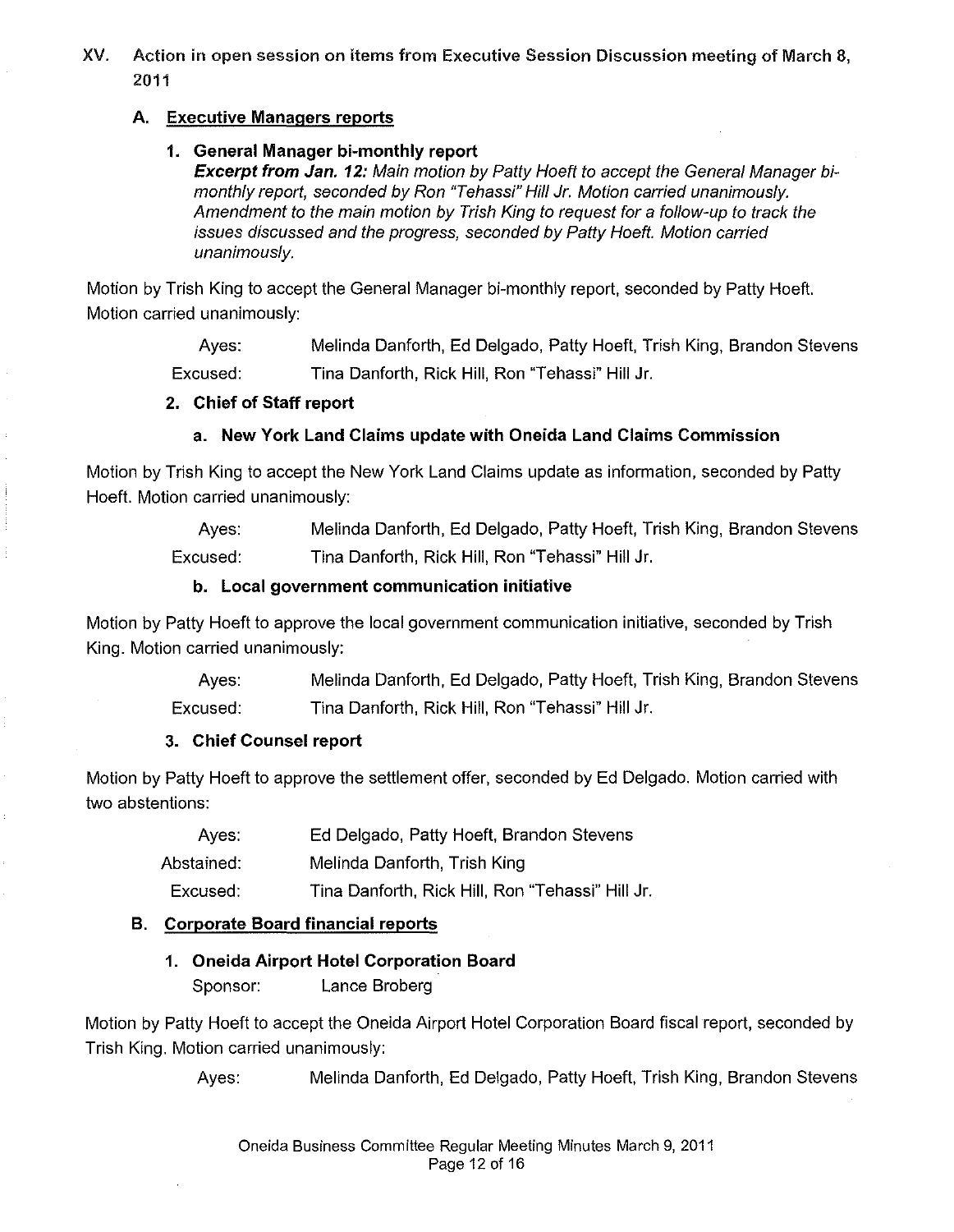XV. Action in open session on items from Executive Session Discussion meeting of March 8, 2011

#### A. Executive Managers reports

#### 1. General Manager bi-monthly report

Excerpt from Jan. 12: Main motion by Patty Hoeft to accept the General Manager bimonthly report, seconded by Ron "Tehassi" Hill Jr. Motion carried unanimously. Amendment to the main motion by Trish King to request for a follow-up to track the issues discussed and the progress, seconded by Patty Hoeft. Motion carried unanimously.

Motion by Trish King to accept the General Manager bi-monthly report, seconded by Patty Hoeft. Motion carried unanimously:

> Ayes: Excused: Melinda Danforth, Ed Delgado, Patty Hoeft, Trish King, Brandon Stevens Tina Danforth, Rick Hill, Ron "Tehassi" Hill Jr.

#### 2. Chief of Staff report

## a. New York Land Claims update with Oneida Land Claims Commission

Motion by Trish King to accept the New York Land Claims update as information, seconded by Patty Hoeft. Motion carried unanimously:

> Ayes: Excused: Melinda Danforth, Ed Delgado, Patty Hoeft, Trish King, Brandon Stevens Tina Danforth, Rick Hill, Ron "Tehassi" Hill Jr.

#### b. Local government communication initiative

Motion by Patty Hoeft to approve the local government communication initiative, seconded by Trish King. Motion carried unanimously:

> Ayes: Excused: Melinda Danforth, Ed Delgado, Patty Hoeft, Trish King, Brandon Stevens Tina Danforth, Rick Hill, Ron "Tehassi" Hill Jr.

## 3. Chief Counsel report

Motion by Patty Hoeft to approve the settlement offer, seconded by Ed Delgado. Motion carried with two abstentions:

> Ayes: Ed Delgado, Patty Hoeft, Brandon Stevens

Abstained: Melinda Danforth, Trish King

Excused: Tina Danforth, Rick Hill, Ron 'Tehassi" Hill Jr.

## B. Corporate Board financial reports

# 1. Oneida Airport Hotel Corporation Board

Sponsor: Lance Broberg

Motion by Patty Hoeft to accept the Oneida Airport Hotel Corporation Board fiscal report, seconded by Trish King. Motion carried unanimously:

Ayes: Melinda Danforth, Ed Delgado, Patty Hoeft, Trish King, Brandon Stevens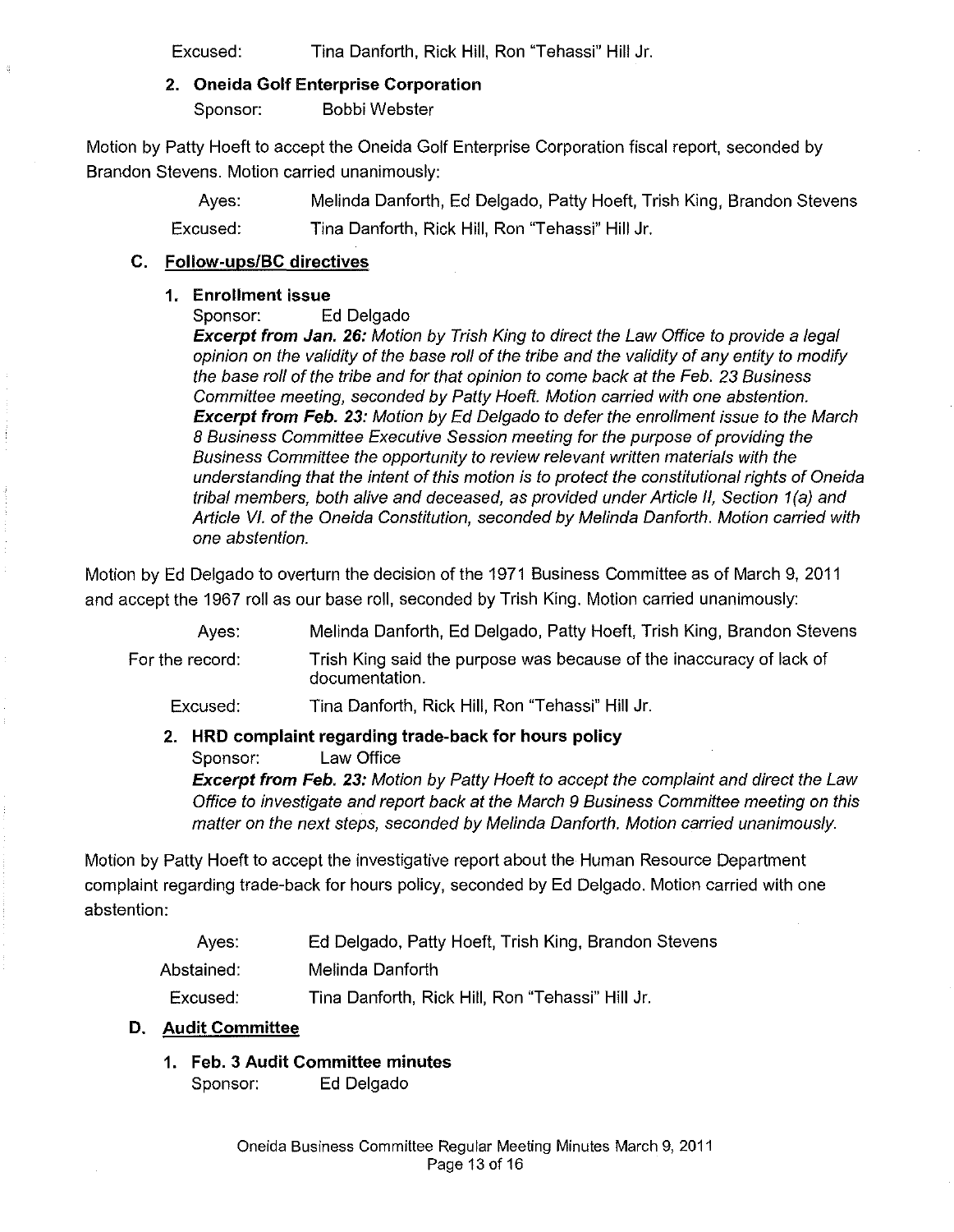Excused: Tina Danforth, Rick Hill, Ron "Tehassi" Hill Jr.

#### 2. Oneida Golf Enterprise Corporation

Sponsor: Bobbi Webster

Motion by Patty Hoeft to accept the Oneida Golf Enterprise Corporation fiscal report, seconded by Brandon Stevens. Motion carried unanimously:

> Ayes: Melinda Danforth, Ed Delgado, Patty Hoeft, Trish King, Brandon Stevens Excused: Tina Danforth, Rick Hill, Ron "Tehassi" Hill Jr.

#### C. Follow-ups/BC directives

#### 1. Enrollment issue

Sponsor: Ed Delgado

**Excerpt from Jan. 26:** Motion by Trish King to direct the Law Office to provide a legal opinion on the validity of the base roll of the tribe and the validity of any entity to modify the base roll of the tribe and for that opinion to come back at the Feb. 23 Business Committee meeting, seconded by Patty Hoeft. Motion carried with one abstention. **Excerpt from Feb. 23:** Motion by Ed Delgado to defer the enrollment issue to the March 8 Business Committee Executive Session meeting for the purpose of providing the Business Committee the opportunity to review relevant written materials with the understanding that the intent of this motion is to protect the constitutional rights of Oneida tribal members, both alive and deceased, as provided under Article II, Section 1(a) and Article VI. of the Oneida Constitution, seconded by Melinda Danforth. Motion carried with one abstention.

Motion by Ed Delgado to overturn the decision of the 1971 Business Committee as of March 9,2011 and accept the 1967 roll as our base roll, seconded by Trish King. Motion carried unanimously:

> Ayes: Melinda Danforth, Ed Delgado, Patty Hoeft, Trish King, Brandon Stevens

For the record: Trish King said the purpose was because of the inaccuracy of lack of documentation.

Excused: Tina Danforth, Rick Hill, Ron "Tehassi" Hill Jr.

## 2. **HRD** complaint regarding trade-back for hours policy

Sponsor: Law Office

**Excerpt from Feb. 23:** Motion by Patty Hoeft to accept the complaint and direct the Law Office to investigate and report back at the March 9 Business Committee meeting on this matter on the next steps, seconded by Melinda Danforth. Motion carried unanimously.

Motion by Patty Hoeft to accept the investigative report about the Human Resource Department complaint regarding trade-back for hours policy, seconded by Ed Delgado. Motion carried with one abstention:

- Ayes: Ed Delgado, Patty Hoeft, Trish King, Brandon Stevens
- Abstained: Melinda Danforth

Excused: Tina Danforth, Rick Hill, Ron "Tehassi" Hill Jr.

#### D. Audit Committee

1. Feb. 3 Audit Committee minutes

Sponsor: Ed Delgado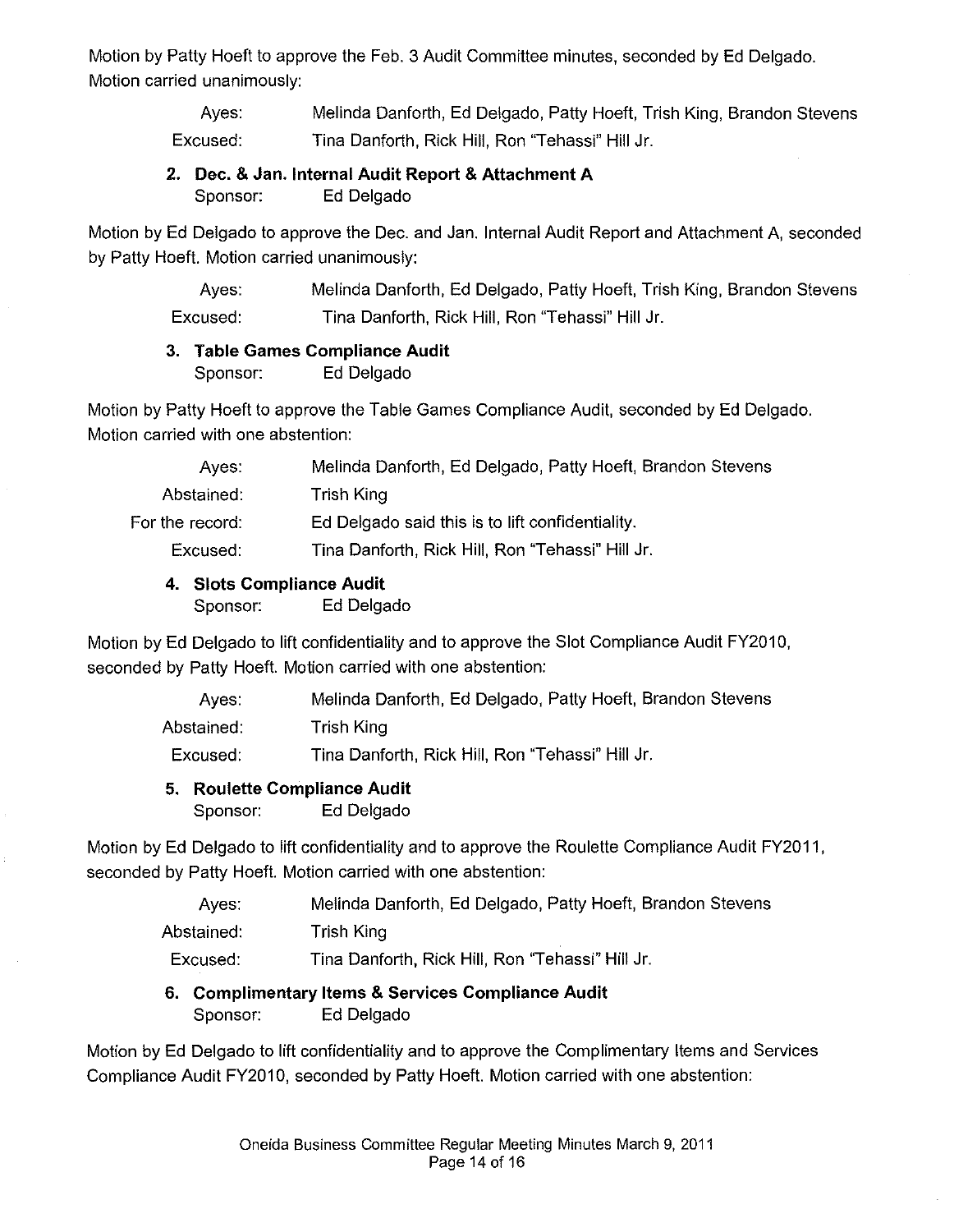Motion by Patty Hoeft to approve the Feb. 3 Audit Committee minutes, seconded by Ed Delgado. Motion carried unanimously:

> Ayes: Excused: Melinda Danforth, Ed Delgado, Patty Hoeft, Trish King, Brandon Stevens Tina Danforth, Rick Hill, Ron "Tehassi" Hill Jr.

# 2. Dec. & Jan. Internal Audit Report & Attachment A Sponsor: Ed Delgado

Motion by Ed Delgado to approve the Dec. and Jan. Internal Audit Report and Attachment A, seconded by Patty Hoeft. Motion carried unanimously:

> Ayes: Excused: Melinda Danforth, Ed Delgado, Patty Hoeft, Trish King, Brandon Stevens Tina Danforth, Rick Hill, Ron "Tehassi" Hill Jr.

# 3. Table Games Compliance Audit

Sponsor: Ed Delgado

Motion by Patty Hoeft to approve the Table Games Compliance Audit, seconded by Ed Delgado. Motion carried with one abstention:

| Ayes:           | Melinda Danforth, Ed Delgado, Patty Hoeft, Brandon Stevens |
|-----------------|------------------------------------------------------------|
| Abstained:      | Trish King                                                 |
| For the record: | Ed Delgado said this is to lift confidentiality.           |
| Excused:        | Tina Danforth, Rick Hill, Ron "Tehassi" Hill Jr.           |
|                 |                                                            |

# 4. Slots Compliance Audit

Sponsor: Ed Delgado

Motion by Ed Delgado to lift confidentiality and to approve the Slot Compliance Audit FY2010, seconded by Patty Hoeft. Motion carried with one abstention:

| Aves:      | Melinda Danforth, Ed Delgado, Patty Hoeft, Brandon Stevens |
|------------|------------------------------------------------------------|
| Abstained: | Trish King                                                 |
| Excused:   | Tina Danforth, Rick Hill, Ron "Tehassi" Hill Jr.           |

# 5. Roulette Compliance Audit

Sponsor: Ed Delgado

Motion by Ed Delgado to lift confidentiality and to approve the Roulette Compliance Audit FY2011, seconded by Patty Hoeft. Motion carried with one abstention:

| Aves:      | Melinda Danforth, Ed Delgado, Patty Hoeft, Brandon Stevens |
|------------|------------------------------------------------------------|
| Abstained: | Trish King                                                 |
| Excused:   | Tina Danforth, Rick Hill, Ron "Tehassi" Hill Jr.           |

# 6. Complimentary Items & Services Compliance Audit Sponsor: Ed Delgado

Motion by Ed Delgado to lift confidentiality and to approve the Complimentary Items and Services Compliance Audit FY2010, seconded by Patty Hoeft. Motion carried with one abstention: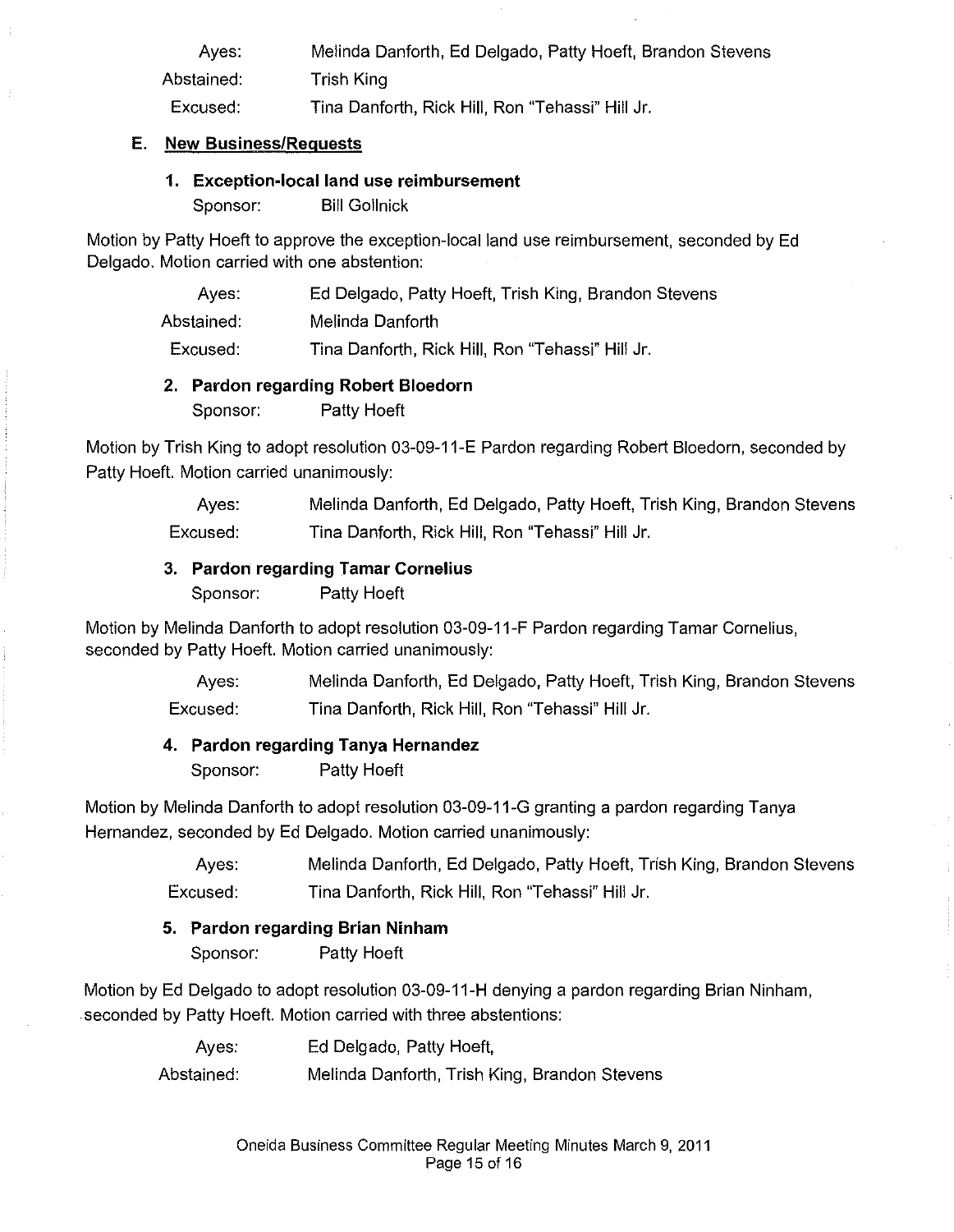| Aves:      | Melinda Danforth, Ed Delgado, Patty Hoeft, Brandon Stevens |
|------------|------------------------------------------------------------|
| Abstained: | Trish King                                                 |
| Excused:   | Tina Danforth, Rick Hill, Ron "Tehassi" Hill Jr.           |

#### E. New Business/Requests

#### 1. Exception-local land use reimbursement

Sponsor: Bill Gollnick

Motion by Patty Hoeft to approve the exception-local land use reimbursement, seconded by Ed Delgado. Motion carried with one abstention:

| Aves:      | Ed Delgado, Patty Hoeft, Trish King, Brandon Stevens |
|------------|------------------------------------------------------|
| Abstained: | Melinda Danforth                                     |
| Excused:   | Tina Danforth, Rick Hill, Ron "Tehassi" Hill Jr.     |

#### 2. Pardon regarding Robert Bloedorn

Sponsor: Patty Hoeft

Motion by Trish King to adopt resolution 03-09-11-E Pardon regarding Robert Bloedorn, seconded by Patty Hoefl. Motion carried unanimously:

> Ayes: Excused: Melinda Danforth, Ed Delgado, Patty Hoeft, Trish King, Brandon Stevens Tina Danforth, Rick Hill, Ron "Tehassi" Hill Jr.

#### 3. Pardon regarding Tamar Cornelius

Sponsor: Patty Hoeft

Motion by Melinda Danforth to adopt resolution 03-09-11-F Pardon regarding Tamar Cornelius, seconded by Patty Hoeft. Motion carried unanimously:

> Ayes: Excused: Melinda Danforth, Ed Delgado, Patty Hoeft, Trish King, Brandon Stevens Tina Danforth, Rick Hill, Ron "Tehassi" Hill Jr.

## 4. Pardon regarding Tanya Hernandez

Sponsor: Patty Hoeft

Motion by Melinda Danforth to adopt resolution 03-09-11-G granting a pardon regarding Tanya Hernandez, seconded by Ed Delgado. Motion carried unanimously:

> Ayes: Excused: Melinda Danforth, Ed Delgado, Patty Hoeft, Trish King, Brandon Stevens Tina Danforth, Rick Hill, Ron "Tehassi" Hill Jr.

## 5. Pardon regarding Brian Ninham

Sponsor: Patty Hoeft

Motion by Ed Delgado to adopt resolution 03-09-11-H denying a pardon regarding Brian Ninham, seconded by Patty Hoefl. Motion carried with three abstentions:

> Ayes: Ed Delgado, Patty Hoeft, Abstained: Melinda Danforth, Trish King, Brandon Stevens